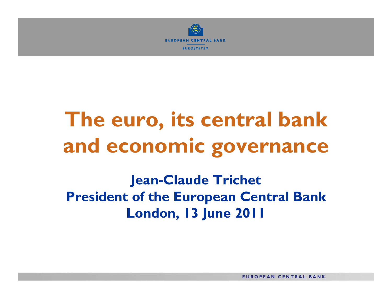

# **The euro, its central bank and economic governance**

**Jean-Claude Trichet President of the European Central Bank London, 13 June 2011**

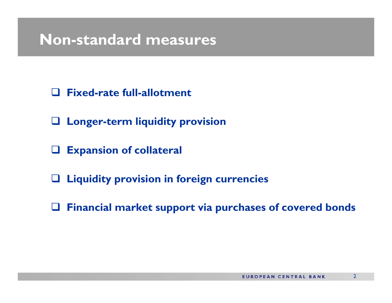#### **Non-standard measures**

- $\Box$ **Fixed-rate full-allotment**
- **Longer-term liquidity provision**
- $\Box$ **Expansion of collateral**
- **Liquidity provision in foreign currencies**
- **Financial market support via purchases of covered bonds**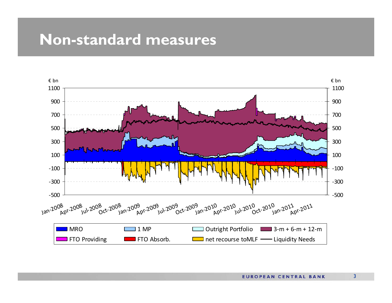#### **Non-standard measures**

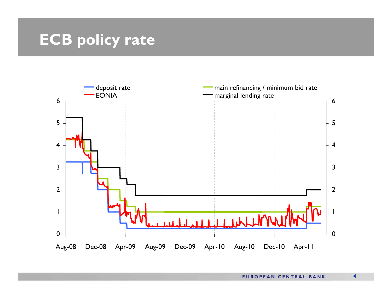### **ECB policy rate**

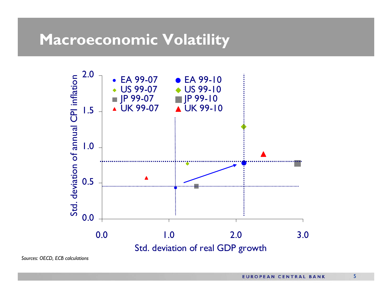#### **Macroeconomic Volatility**



*Sources: OECD, ECB calculations*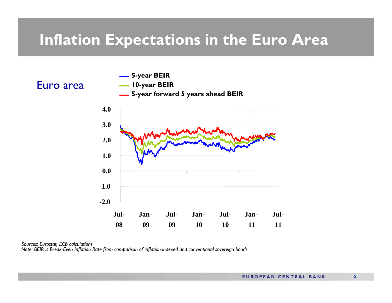#### **Inflation Expectations in the Euro Area**



#### *Sources: Eurostat, ECB calculations*

*Note: BEIR is Break-Even Inflation Rate from comparison of inflation-indexed and conventional sovereign bonds.*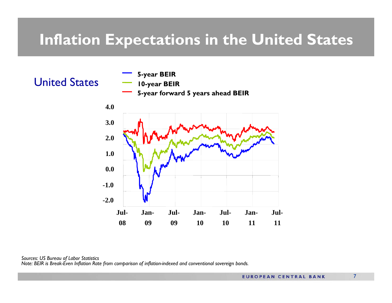### **Inflation Expectations in the United States**



*Sources: US Bureau of Labor Statistics Note: BEIR is Break-Even Inflation Rate from comparison of inflation-indexed and conventional sovereign bonds.*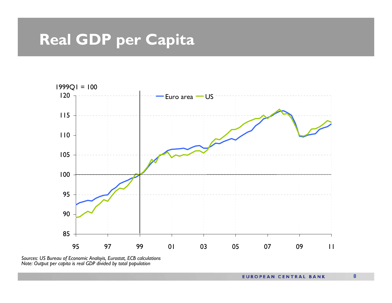# **Real GDP per Capita**



*Sources: US Bureau of Economic Analsyis, Eurostat, ECB calculations Note: Output per capita is real GDP divided by total population*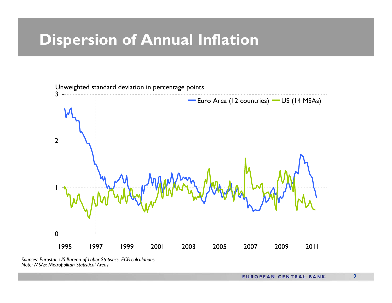### **Dispersion of Annual Inflation**



*Sources: Eurostat, US Bureau of Labor Statistics, ECB calculations Note: MSAs: Metropolitan Statistical Areas*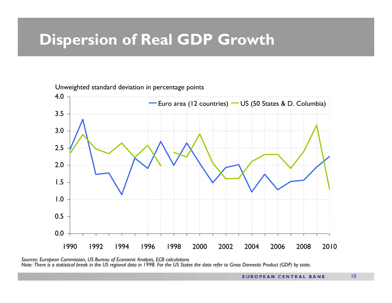### **Dispersion of Real GDP Growth**



*Sources: European Commission, US Bureau of Economic Analysis, ECB calculations Note: There is a statistical break in the US regional data in 1998. For the US States the data refer to Gross Domestic Product (GDP) by state.*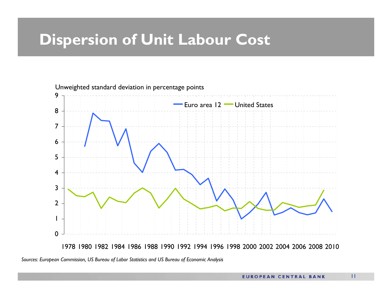### **Dispersion of Unit Labour Cost**



*Sources: European Commission, US Bureau of Labor Statistics and US Bureau of Economic Analysis*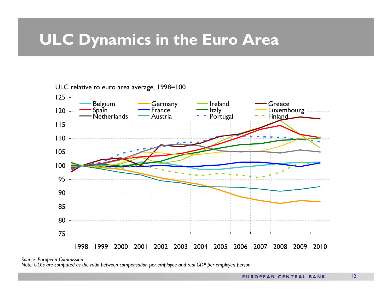## **ULC Dynamics in the Euro Area**

 1999 2000 2001 2002 2003 2004 2005 2006 2007 2008 2009 2010Belgium Germany Ireland Greece Spain France Italy Luxembourg NetherlandsNetherlands — Austria Portugal **Finland** 

ULC relative to euro area average, 1998=100

*Source: European Commission* 

*Note: ULCs are computed as the ratio between compensation per employee and real GDP per employed person*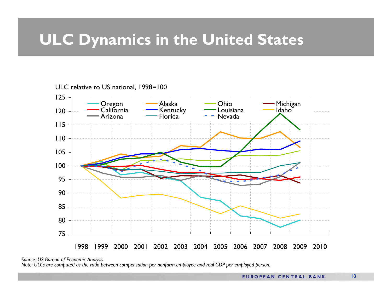## **ULC Dynamics in the United States**

#### ULC relative to US national, 1998=100



*Source: US Bureau of Economic Analysis*

*Note: ULCs are computed as the ratio between compensation per nonfarm employee and real GDP per employed person.*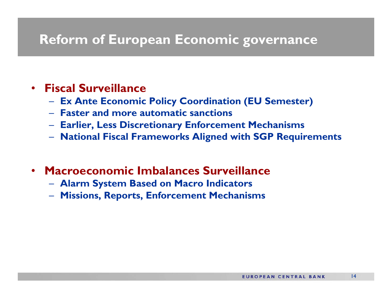#### **Reform of European Economic governance**

#### •**Fiscal Surveillance**

- $\mathcal{L}_{\mathcal{A}}$ **Ex Ante Economic Policy Coordination (EU Semester)**
- **Faster and more automatic sanctions**
- $\mathcal{L}_{\mathcal{A}}$ **Earlier, Less Discretionary Enforcement Mechanisms**
- $\mathcal{L}_{\mathcal{A}}$ **National Fiscal Frameworks Aligned with SGP Requirements**
- • **Macroeconomic Imbalances Surveillance**
	- $\mathcal{L}_{\mathcal{A}}$ **Alarm System Based on Macro Indicators**
	- $\mathcal{L}_{\mathcal{A}}$ **Missions, Reports, Enforcement Mechanisms**